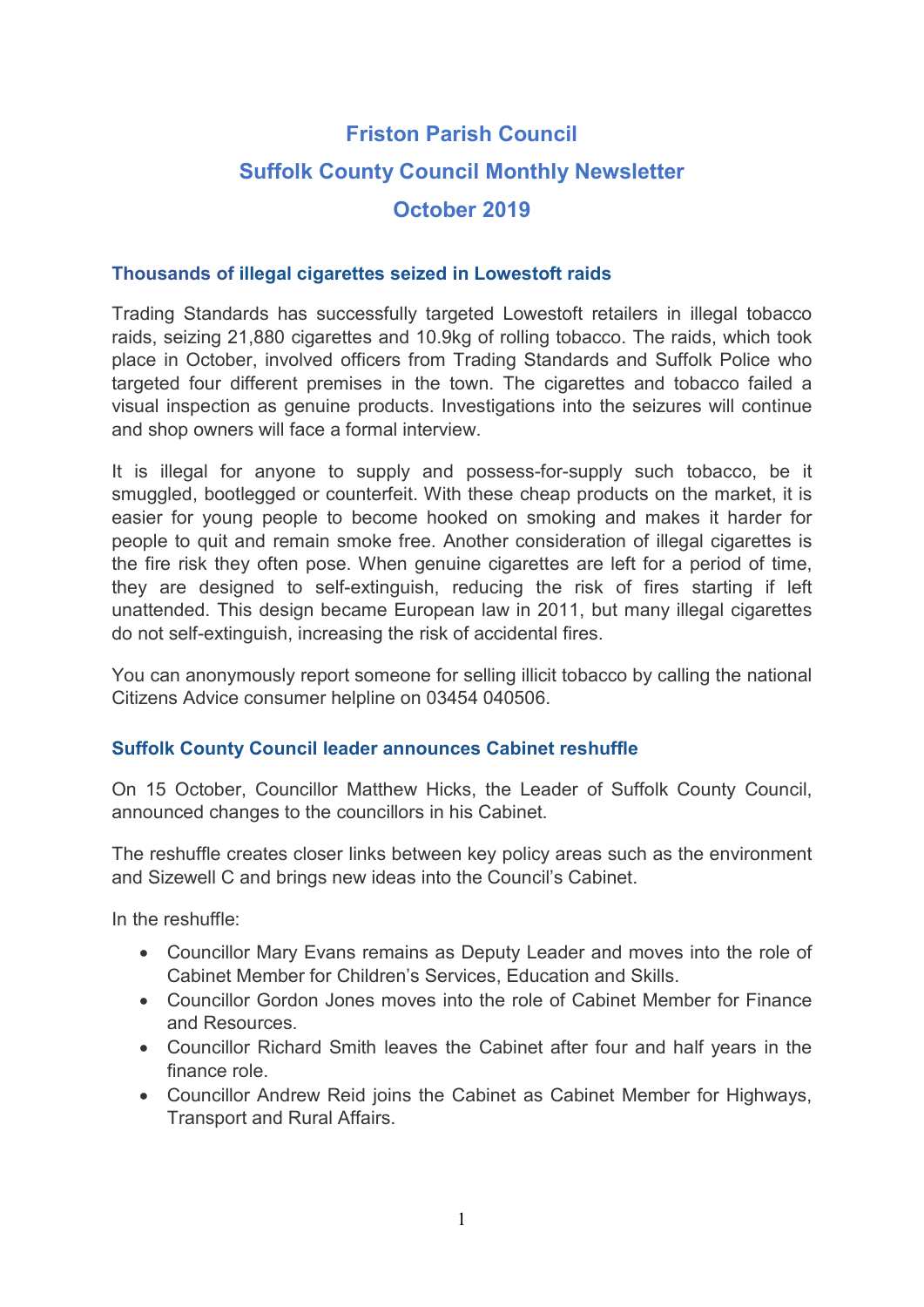# Friston Parish Council Suffolk County Council Monthly Newsletter October 2019

## Thousands of illegal cigarettes seized in Lowestoft raids

Trading Standards has successfully targeted Lowestoft retailers in illegal tobacco raids, seizing 21,880 cigarettes and 10.9kg of rolling tobacco. The raids, which took place in October, involved officers from Trading Standards and Suffolk Police who targeted four different premises in the town. The cigarettes and tobacco failed a visual inspection as genuine products. Investigations into the seizures will continue and shop owners will face a formal interview.

It is illegal for anyone to supply and possess-for-supply such tobacco, be it smuggled, bootlegged or counterfeit. With these cheap products on the market, it is easier for young people to become hooked on smoking and makes it harder for people to quit and remain smoke free. Another consideration of illegal cigarettes is the fire risk they often pose. When genuine cigarettes are left for a period of time, they are designed to self-extinguish, reducing the risk of fires starting if left unattended. This design became European law in 2011, but many illegal cigarettes do not self-extinguish, increasing the risk of accidental fires.

You can anonymously report someone for selling illicit tobacco by calling the national Citizens Advice consumer helpline on 03454 040506.

## Suffolk County Council leader announces Cabinet reshuffle

On 15 October, Councillor Matthew Hicks, the Leader of Suffolk County Council, announced changes to the councillors in his Cabinet.

The reshuffle creates closer links between key policy areas such as the environment and Sizewell C and brings new ideas into the Council's Cabinet.

In the reshuffle:

- Councillor Mary Evans remains as Deputy Leader and moves into the role of Cabinet Member for Children's Services, Education and Skills.
- Councillor Gordon Jones moves into the role of Cabinet Member for Finance and Resources.
- Councillor Richard Smith leaves the Cabinet after four and half years in the finance role.
- Councillor Andrew Reid joins the Cabinet as Cabinet Member for Highways, Transport and Rural Affairs.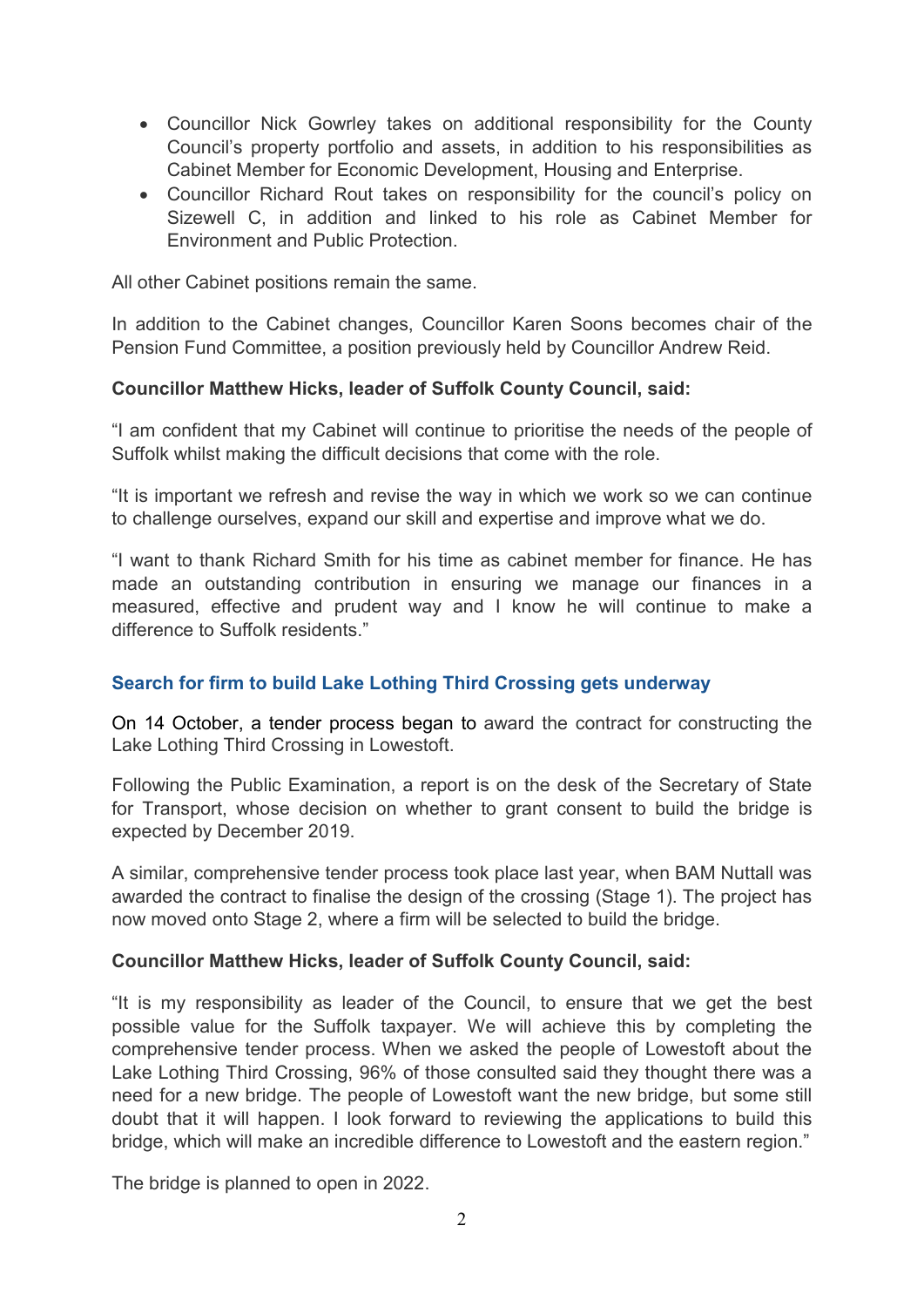- Councillor Nick Gowrley takes on additional responsibility for the County Council's property portfolio and assets, in addition to his responsibilities as Cabinet Member for Economic Development, Housing and Enterprise.
- Councillor Richard Rout takes on responsibility for the council's policy on Sizewell C, in addition and linked to his role as Cabinet Member for Environment and Public Protection.

All other Cabinet positions remain the same.

In addition to the Cabinet changes, Councillor Karen Soons becomes chair of the Pension Fund Committee, a position previously held by Councillor Andrew Reid.

#### Councillor Matthew Hicks, leader of Suffolk County Council, said:

"I am confident that my Cabinet will continue to prioritise the needs of the people of Suffolk whilst making the difficult decisions that come with the role.

"It is important we refresh and revise the way in which we work so we can continue to challenge ourselves, expand our skill and expertise and improve what we do.

"I want to thank Richard Smith for his time as cabinet member for finance. He has made an outstanding contribution in ensuring we manage our finances in a measured, effective and prudent way and I know he will continue to make a difference to Suffolk residents."

#### Search for firm to build Lake Lothing Third Crossing gets underway

On 14 October, a tender process began to award the contract for constructing the Lake Lothing Third Crossing in Lowestoft.

Following the Public Examination, a report is on the desk of the Secretary of State for Transport, whose decision on whether to grant consent to build the bridge is expected by December 2019.

A similar, comprehensive tender process took place last year, when BAM Nuttall was awarded the contract to finalise the design of the crossing (Stage 1). The project has now moved onto Stage 2, where a firm will be selected to build the bridge.

#### Councillor Matthew Hicks, leader of Suffolk County Council, said:

"It is my responsibility as leader of the Council, to ensure that we get the best possible value for the Suffolk taxpayer. We will achieve this by completing the comprehensive tender process. When we asked the people of Lowestoft about the Lake Lothing Third Crossing, 96% of those consulted said they thought there was a need for a new bridge. The people of Lowestoft want the new bridge, but some still doubt that it will happen. I look forward to reviewing the applications to build this bridge, which will make an incredible difference to Lowestoft and the eastern region."

The bridge is planned to open in 2022.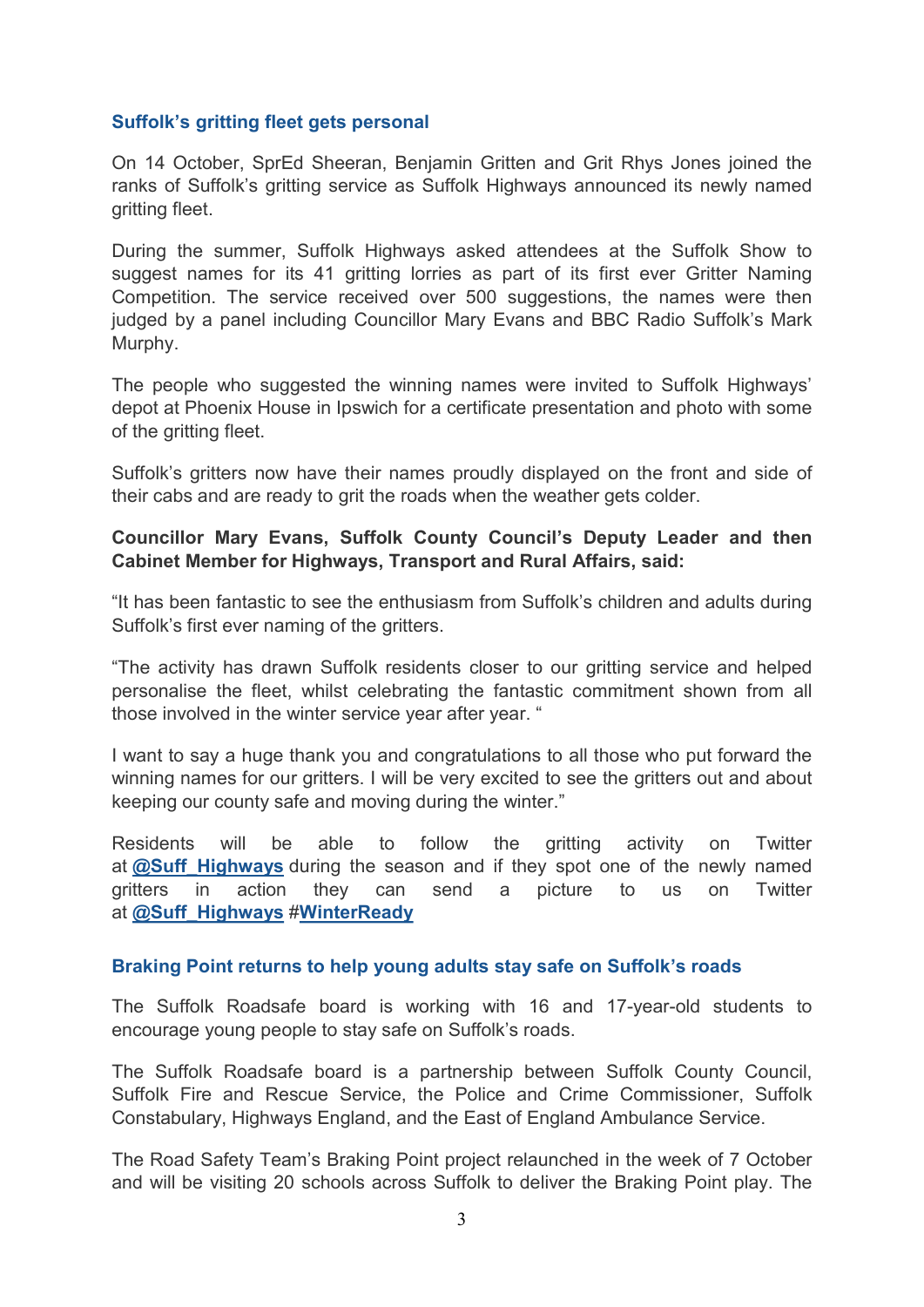#### Suffolk's gritting fleet gets personal

On 14 October, SprEd Sheeran, Benjamin Gritten and Grit Rhys Jones joined the ranks of Suffolk's gritting service as Suffolk Highways announced its newly named gritting fleet.

During the summer, Suffolk Highways asked attendees at the Suffolk Show to suggest names for its 41 gritting lorries as part of its first ever Gritter Naming Competition. The service received over 500 suggestions, the names were then judged by a panel including Councillor Mary Evans and BBC Radio Suffolk's Mark Murphy.

The people who suggested the winning names were invited to Suffolk Highways' depot at Phoenix House in Ipswich for a certificate presentation and photo with some of the gritting fleet.

Suffolk's gritters now have their names proudly displayed on the front and side of their cabs and are ready to grit the roads when the weather gets colder.

#### Councillor Mary Evans, Suffolk County Council's Deputy Leader and then Cabinet Member for Highways, Transport and Rural Affairs, said:

"It has been fantastic to see the enthusiasm from Suffolk's children and adults during Suffolk's first ever naming of the gritters.

"The activity has drawn Suffolk residents closer to our gritting service and helped personalise the fleet, whilst celebrating the fantastic commitment shown from all those involved in the winter service year after year. "

I want to say a huge thank you and congratulations to all those who put forward the winning names for our gritters. I will be very excited to see the gritters out and about keeping our county safe and moving during the winter."

Residents will be able to follow the gritting activity on Twitter at  $@Suff$  Highways during the season and if they spot one of the newly named gritters in action they can send a picture to us on Twitter at @Suff\_Highways #WinterReady

## Braking Point returns to help young adults stay safe on Suffolk's roads

The Suffolk Roadsafe board is working with 16 and 17-year-old students to encourage young people to stay safe on Suffolk's roads.

The Suffolk Roadsafe board is a partnership between Suffolk County Council, Suffolk Fire and Rescue Service, the Police and Crime Commissioner, Suffolk Constabulary, Highways England, and the East of England Ambulance Service.

The Road Safety Team's Braking Point project relaunched in the week of 7 October and will be visiting 20 schools across Suffolk to deliver the Braking Point play. The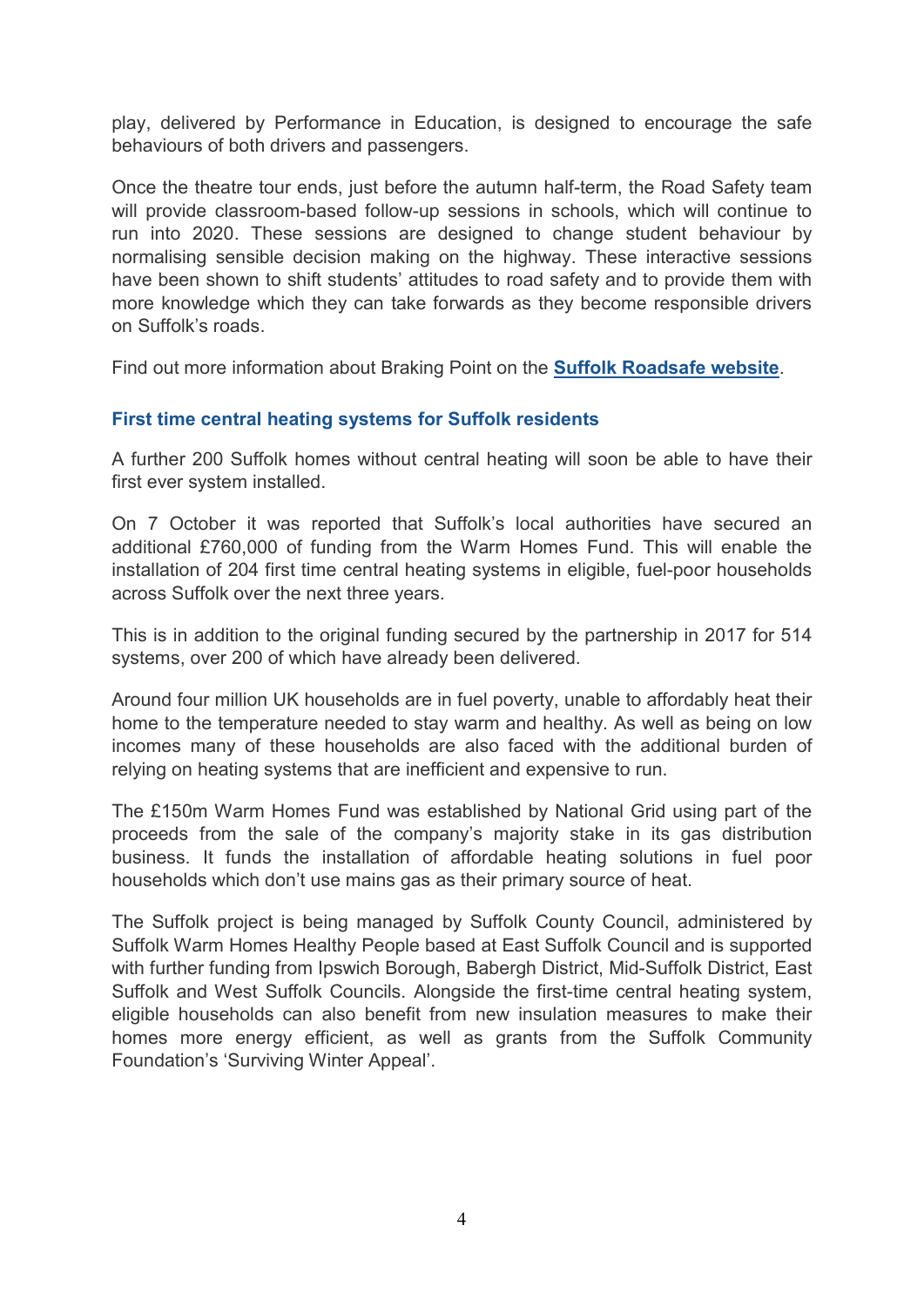play, delivered by Performance in Education, is designed to encourage the safe behaviours of both drivers and passengers.

Once the theatre tour ends, just before the autumn half-term, the Road Safety team will provide classroom-based follow-up sessions in schools, which will continue to run into 2020. These sessions are designed to change student behaviour by normalising sensible decision making on the highway. These interactive sessions have been shown to shift students' attitudes to road safety and to provide them with more knowledge which they can take forwards as they become responsible drivers on Suffolk's roads.

Find out more information about Braking Point on the Suffolk Roadsafe website.

## First time central heating systems for Suffolk residents

A further 200 Suffolk homes without central heating will soon be able to have their first ever system installed.

On 7 October it was reported that Suffolk's local authorities have secured an additional £760,000 of funding from the Warm Homes Fund. This will enable the installation of 204 first time central heating systems in eligible, fuel-poor households across Suffolk over the next three years.

This is in addition to the original funding secured by the partnership in 2017 for 514 systems, over 200 of which have already been delivered.

Around four million UK households are in fuel poverty, unable to affordably heat their home to the temperature needed to stay warm and healthy. As well as being on low incomes many of these households are also faced with the additional burden of relying on heating systems that are inefficient and expensive to run.

The £150m Warm Homes Fund was established by National Grid using part of the proceeds from the sale of the company's majority stake in its gas distribution business. It funds the installation of affordable heating solutions in fuel poor households which don't use mains gas as their primary source of heat.

The Suffolk project is being managed by Suffolk County Council, administered by Suffolk Warm Homes Healthy People based at East Suffolk Council and is supported with further funding from Ipswich Borough, Babergh District, Mid-Suffolk District, East Suffolk and West Suffolk Councils. Alongside the first-time central heating system, eligible households can also benefit from new insulation measures to make their homes more energy efficient, as well as grants from the Suffolk Community Foundation's 'Surviving Winter Appeal'.